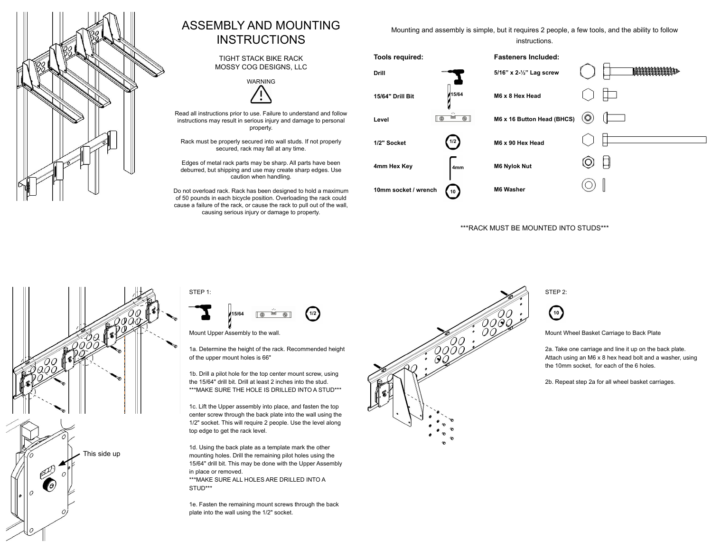

## ASSEMBLY AND MOUNTING INSTRUCTIONS

TIGHT STACK BIKE RACK MOSSY COG DESIGNS, LLC



Read all instructions prior to use. Failure to understand and follow instructions may result in serious injury and damage to personal property.

Rack must be properly secured into wall studs. If not properly secured, rack may fall at any time.

Edges of metal rack parts may be sharp. All parts have been deburred, but shipping and use may create sharp edges. Use caution when handling.

Do not overload rack. Rack has been designed to hold a maximum of 50 pounds in each bicycle position. Overloading the rack could cause a failure of the rack, or cause the rack to pull out of the wall, causing serious injury or damage to property.



## \*\*\*RACK MUST BE MOUNTED INTO STUDS\*\*\*





Mount Upper Assembly to the wall.

1a. Determine the height of the rack. Recommended height of the upper mount holes is 66"

1b. Drill a pilot hole for the top center mount screw, using the 15/64" drill bit. Drill at least 2 inches into the stud. \*\*\*MAKE SURE THE HOLE IS DRILLED INTO A STUD\*\*\*

1c. Lift the Upper assembly into place, and fasten the top center screw through the back plate into the wall using the 1/2" socket. This will require 2 people. Use the level along top edge to get the rack level.

1d. Using the back plate as a template mark the other mounting holes. Drill the remaining pilot holes using the 15/64" drill bit. This may be done with the Upper Assembly in place or removed. \*\*\*MAKE SURE ALL HOLES ARE DRILLED INTO A STUD\*\*\*

 1e. Fasten the remaining mount screws through the back plate into the wall using the 1/2" socket.



STEP 2:

**10**

Mount Wheel Basket Carriage to Back Plate

2a. Take one carriage and line it up on the back plate. Attach using an M6 x 8 hex head bolt and a washer, using the 10mm socket, for each of the 6 holes.

2b. Repeat step 2a for all wheel basket carriages.

Mounting and assembly is simple, but it requires 2 people, a few tools, and the ability to follow instructions.